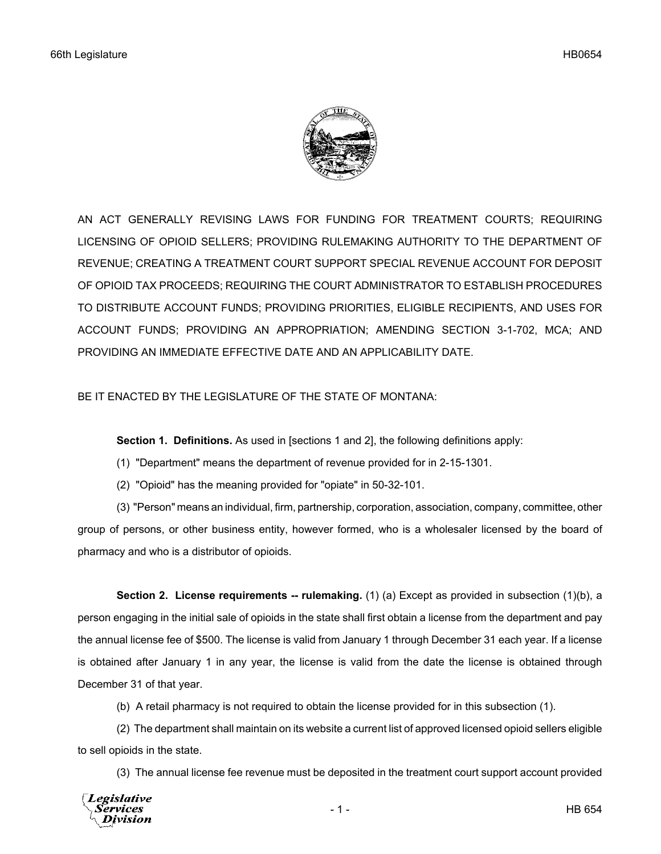

AN ACT GENERALLY REVISING LAWS FOR FUNDING FOR TREATMENT COURTS; REQUIRING LICENSING OF OPIOID SELLERS; PROVIDING RULEMAKING AUTHORITY TO THE DEPARTMENT OF REVENUE; CREATING A TREATMENT COURT SUPPORT SPECIAL REVENUE ACCOUNT FOR DEPOSIT OF OPIOID TAX PROCEEDS; REQUIRING THE COURT ADMINISTRATOR TO ESTABLISH PROCEDURES TO DISTRIBUTE ACCOUNT FUNDS; PROVIDING PRIORITIES, ELIGIBLE RECIPIENTS, AND USES FOR ACCOUNT FUNDS; PROVIDING AN APPROPRIATION; AMENDING SECTION 3-1-702, MCA; AND PROVIDING AN IMMEDIATE EFFECTIVE DATE AND AN APPLICABILITY DATE.

## BE IT ENACTED BY THE LEGISLATURE OF THE STATE OF MONTANA:

**Section 1. Definitions.** As used in [sections 1 and 2], the following definitions apply:

- (1) "Department" means the department of revenue provided for in 2-15-1301.
- (2) "Opioid" has the meaning provided for "opiate" in 50-32-101.

(3) "Person" means an individual, firm, partnership, corporation, association, company, committee, other group of persons, or other business entity, however formed, who is a wholesaler licensed by the board of pharmacy and who is a distributor of opioids.

**Section 2. License requirements -- rulemaking.** (1) (a) Except as provided in subsection (1)(b), a person engaging in the initial sale of opioids in the state shall first obtain a license from the department and pay the annual license fee of \$500. The license is valid from January 1 through December 31 each year. If a license is obtained after January 1 in any year, the license is valid from the date the license is obtained through December 31 of that year.

(b) A retail pharmacy is not required to obtain the license provided for in this subsection (1).

(2) The department shall maintain on its website a current list of approved licensed opioid sellers eligible to sell opioids in the state.

(3) The annual license fee revenue must be deposited in the treatment court support account provided

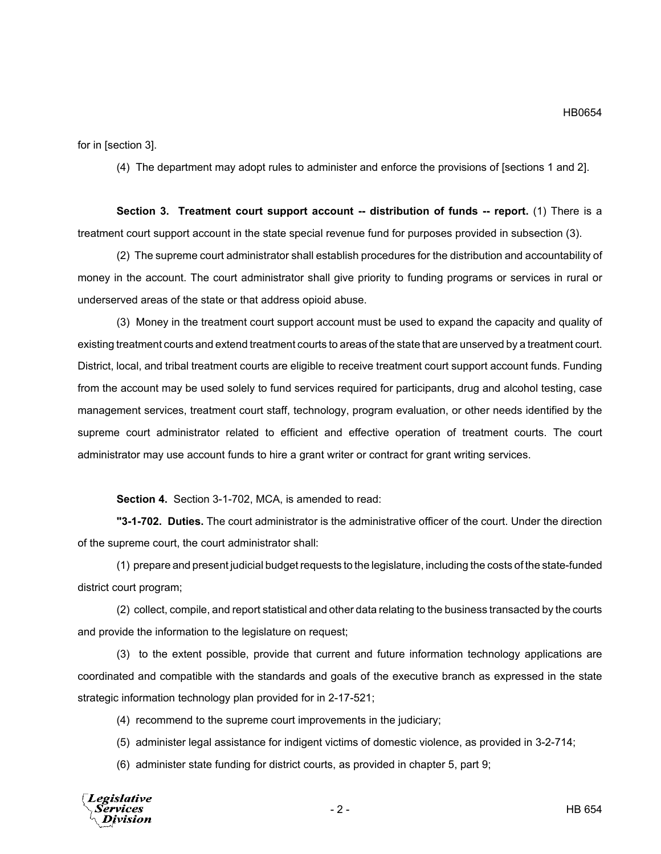for in [section 3].

(4) The department may adopt rules to administer and enforce the provisions of [sections 1 and 2].

**Section 3. Treatment court support account -- distribution of funds -- report.** (1) There is a treatment court support account in the state special revenue fund for purposes provided in subsection (3).

(2) The supreme court administrator shall establish procedures for the distribution and accountability of money in the account. The court administrator shall give priority to funding programs or services in rural or underserved areas of the state or that address opioid abuse.

(3) Money in the treatment court support account must be used to expand the capacity and quality of existing treatment courts and extend treatment courts to areas of the state that are unserved by a treatment court. District, local, and tribal treatment courts are eligible to receive treatment court support account funds. Funding from the account may be used solely to fund services required for participants, drug and alcohol testing, case management services, treatment court staff, technology, program evaluation, or other needs identified by the supreme court administrator related to efficient and effective operation of treatment courts. The court administrator may use account funds to hire a grant writer or contract for grant writing services.

**Section 4.** Section 3-1-702, MCA, is amended to read:

**"3-1-702. Duties.** The court administrator is the administrative officer of the court. Under the direction of the supreme court, the court administrator shall:

(1) prepare and present judicial budget requests to the legislature, including the costs of the state-funded district court program;

(2) collect, compile, and report statistical and other data relating to the business transacted by the courts and provide the information to the legislature on request;

(3) to the extent possible, provide that current and future information technology applications are coordinated and compatible with the standards and goals of the executive branch as expressed in the state strategic information technology plan provided for in 2-17-521;

(4) recommend to the supreme court improvements in the judiciary;

(5) administer legal assistance for indigent victims of domestic violence, as provided in 3-2-714;

(6) administer state funding for district courts, as provided in chapter 5, part 9;

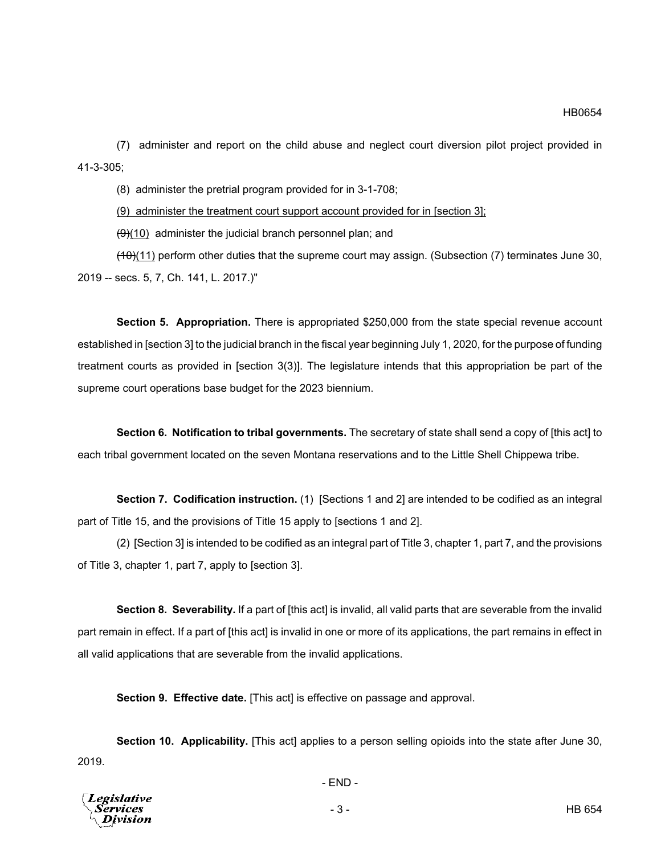(7) administer and report on the child abuse and neglect court diversion pilot project provided in 41-3-305;

(8) administer the pretrial program provided for in 3-1-708;

(9) administer the treatment court support account provided for in [section 3];

 $\left(\frac{1}{2}\right)$ (10) administer the judicial branch personnel plan; and

 $(10)(11)$  perform other duties that the supreme court may assign. (Subsection (7) terminates June 30, 2019 -- secs. 5, 7, Ch. 141, L. 2017.)"

**Section 5. Appropriation.** There is appropriated \$250,000 from the state special revenue account established in [section 3] to the judicial branch in the fiscal year beginning July 1, 2020, for the purpose of funding treatment courts as provided in [section 3(3)]. The legislature intends that this appropriation be part of the supreme court operations base budget for the 2023 biennium.

**Section 6. Notification to tribal governments.** The secretary of state shall send a copy of [this act] to each tribal government located on the seven Montana reservations and to the Little Shell Chippewa tribe.

**Section 7. Codification instruction.** (1) [Sections 1 and 2] are intended to be codified as an integral part of Title 15, and the provisions of Title 15 apply to [sections 1 and 2].

(2) [Section 3] is intended to be codified as an integral part of Title 3, chapter 1, part 7, and the provisions of Title 3, chapter 1, part 7, apply to [section 3].

**Section 8. Severability.** If a part of [this act] is invalid, all valid parts that are severable from the invalid part remain in effect. If a part of [this act] is invalid in one or more of its applications, the part remains in effect in all valid applications that are severable from the invalid applications.

**Section 9. Effective date.** [This act] is effective on passage and approval.

**Section 10. Applicability.** [This act] applies to a person selling opioids into the state after June 30, 2019.

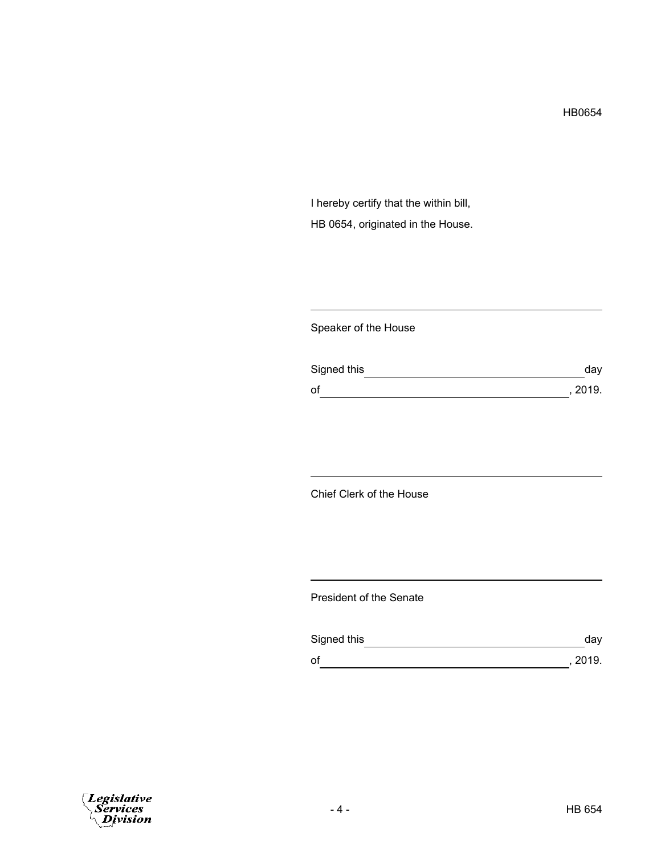HB0654

I hereby certify that the within bill, HB 0654, originated in the House.

Speaker of the House

| Signed this | day     |
|-------------|---------|
| of          | , 2019. |

Chief Clerk of the House

President of the Senate

| Signed this | day     |
|-------------|---------|
| of          | , 2019. |